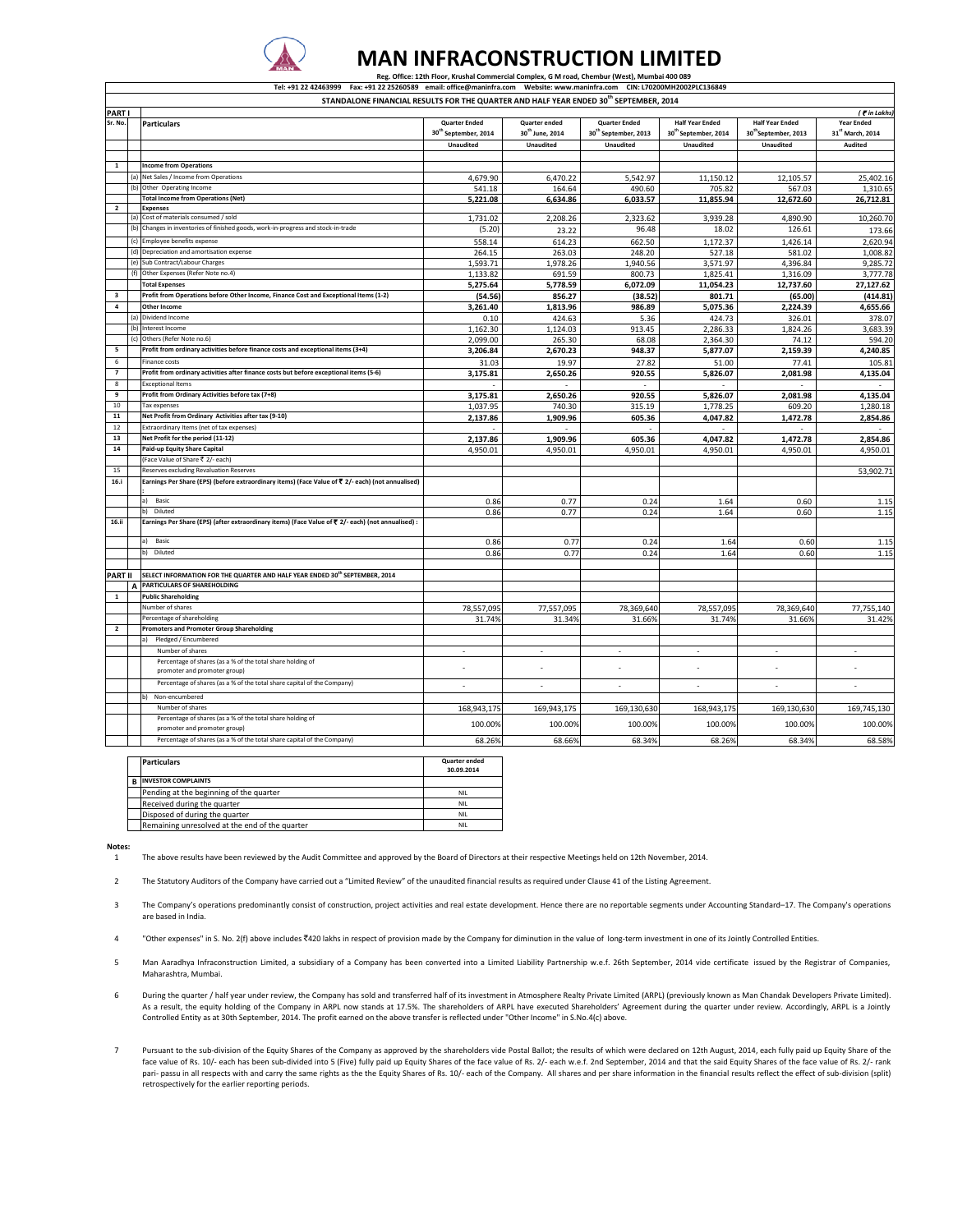

## **MAN INFRACONSTRUCTION LIMITED** Reg. Office: 12th Floor, Krushal Commercial Complex, G M road, Chembur (West), Mumbai 400 089

Tel: +91 22 42463999 Fax: +91 22 25260589 email: office@maninfra.com Website: www.maninfra.com CIN: L70200MH2002PLC136849

|                | STANDALONE FINANCIAL RESULTS FOR THE QUARTER AND HALF YEAR ENDED 30 <sup>th</sup> SEPTEMBER, 2014 |                                                                                                                                              |                                  |                             |                                  |                                  |                                  |                          |  |
|----------------|---------------------------------------------------------------------------------------------------|----------------------------------------------------------------------------------------------------------------------------------------------|----------------------------------|-----------------------------|----------------------------------|----------------------------------|----------------------------------|--------------------------|--|
| PART I         |                                                                                                   |                                                                                                                                              |                                  |                             |                                  |                                  |                                  | ( F in Lakhs)            |  |
| Sr. No.        |                                                                                                   | <b>Particulars</b>                                                                                                                           | <b>Quarter Ended</b>             | <b>Quarter ended</b>        | <b>Quarter Ended</b>             | <b>Half Year Ended</b>           | <b>Half Year Ended</b>           | <b>Year Ended</b>        |  |
|                |                                                                                                   |                                                                                                                                              | 30 <sup>th</sup> September, 2014 | 30 <sup>th</sup> June, 2014 | 30 <sup>th</sup> September, 2013 | 30 <sup>th</sup> September, 2014 | 30 <sup>th</sup> September, 2013 | 31st March, 2014         |  |
|                |                                                                                                   |                                                                                                                                              | <b>Unaudited</b>                 | Unaudited                   | Unaudited                        | <b>Unaudited</b>                 | Unaudited                        | Audited                  |  |
|                |                                                                                                   |                                                                                                                                              |                                  |                             |                                  |                                  |                                  |                          |  |
| 1              |                                                                                                   | <b>Income from Operations</b>                                                                                                                |                                  |                             |                                  |                                  |                                  |                          |  |
|                | (a)                                                                                               | Net Sales / Income from Operations                                                                                                           | 4,679.90                         | 6,470.22                    | 5,542.97                         | 11,150.12                        | 12,105.57                        | 25,402.16                |  |
|                | (h)                                                                                               | Other Operating Income                                                                                                                       | 541.18                           | 164.64                      | 490.60                           | 705.82                           | 567.03                           | 1,310.65                 |  |
|                |                                                                                                   | <b>Total Income from Operations (Net)</b>                                                                                                    | 5,221.08                         | 6,634.86                    | 6.033.57                         | 11.855.94                        | 12,672.60                        | 26.712.81                |  |
| $\overline{2}$ |                                                                                                   | <b>Expenses</b>                                                                                                                              |                                  |                             |                                  |                                  |                                  |                          |  |
|                | (a)                                                                                               | Cost of materials consumed / sold                                                                                                            | 1,731.02                         | 2,208.26                    | 2,323.62                         | 3,939.28                         | 4,890.90                         | 10,260.70                |  |
|                | (b)                                                                                               | Changes in inventories of finished goods, work-in-progress and stock-in-trade                                                                | (5.20)                           | 23.22                       | 96.48                            | 18.02                            | 126.61                           | 173.66                   |  |
|                | (c)                                                                                               | Employee benefits expense                                                                                                                    | 558.14                           | 614.23                      | 662.50                           | 1,172.37                         | 1,426.14                         | 2,620.94                 |  |
|                | (d)                                                                                               | Depreciation and amortisation expense                                                                                                        | 264.15                           | 263.03                      | 248.20                           | 527.18                           | 581.02                           | 1.008.82                 |  |
|                | (e)                                                                                               | Sub Contract/Labour Charges                                                                                                                  | 1,593.71                         | 1,978.26                    | 1,940.56                         | 3,571.97                         | 4,396.84                         | 9,285.72                 |  |
|                | (f)                                                                                               | Other Expenses (Refer Note no.4)                                                                                                             | 1,133.82                         | 691.59                      | 800.73                           | 1,825.41                         | 1,316.09                         | 3,777.78                 |  |
|                |                                                                                                   | <b>Total Expenses</b>                                                                                                                        | 5,275.64                         | 5,778.59                    | 6,072.09                         | 11,054.23                        | 12,737.60                        | 27,127.62                |  |
| 3              |                                                                                                   | Profit from Operations before Other Income, Finance Cost and Exceptional Items (1-2)                                                         | (54.56)                          | 856.27                      | (38.52)                          | 801.71                           | (65.00)                          | (414.81)                 |  |
| $\pmb{4}$      |                                                                                                   | <b>Other Income</b>                                                                                                                          | 3,261.40                         | 1,813.96                    | 986.89                           | 5,075.36                         | 2,224.39                         | 4,655.66                 |  |
|                | (a)                                                                                               | Dividend Income                                                                                                                              | 0.10                             | 424.63                      | 5.36                             | 424.73                           | 326.01                           | 378.07                   |  |
|                | (b)                                                                                               | Interest Income                                                                                                                              | 1,162.30                         | 1,124.03                    | 913.45                           | 2,286.33                         | 1,824.26                         | 3,683.39                 |  |
|                | Ιć                                                                                                | Others (Refer Note no.6)                                                                                                                     | 2,099.00                         | 265.30                      | 68.08                            | 2,364.30                         | 74.12                            | 594.20                   |  |
| 5              |                                                                                                   | Profit from ordinary activities before finance costs and exceptional items (3+4)                                                             | 3,206.84                         | 2,670.23                    | 948.37                           | 5,877.07                         | 2,159.39                         | 4,240.85                 |  |
| 6              |                                                                                                   | Finance costs                                                                                                                                | 31.03                            | 19.97                       | 27.82                            | 51.00                            | 77.41                            | 105.81                   |  |
| $\overline{7}$ |                                                                                                   | Profit from ordinary activities after finance costs but before exceptional items (5-6)                                                       | 3,175.81                         | 2,650.26                    | 920.55                           | 5,826.07                         | 2,081.98                         | 4,135.04                 |  |
| 8              |                                                                                                   | xceptional Items                                                                                                                             |                                  |                             |                                  |                                  |                                  |                          |  |
| 9              |                                                                                                   | Profit from Ordinary Activities before tax (7+8)                                                                                             | 3,175.81                         | 2,650.26                    | 920.55                           | 5,826.07                         | 2,081.98                         | 4,135.04                 |  |
| 10             |                                                                                                   | Tax expenses                                                                                                                                 | 1,037.95                         | 740.30                      | 315.19                           | 1,778.25                         | 609.20                           | 1,280.18                 |  |
| 11             |                                                                                                   | Net Profit from Ordinary Activities after tax (9-10)                                                                                         | 2,137.86                         | 1,909.96                    | 605.36                           | 4,047.82                         | 1,472.78                         | 2,854.86                 |  |
| $12\,$         |                                                                                                   | xtraordinary Items (net of tax expenses)                                                                                                     |                                  |                             |                                  |                                  |                                  |                          |  |
| 13             |                                                                                                   | Net Profit for the period (11-12)                                                                                                            | 2,137.86                         | 1,909.96                    | 605.36                           | 4,047.82                         | 1,472.78                         | 2,854.86                 |  |
| 14             |                                                                                                   | Paid-up Equity Share Capital                                                                                                                 | 4,950.01                         | 4,950.01                    | 4,950.01                         | 4,950.01                         | 4,950.01                         | 4,950.01                 |  |
|                |                                                                                                   | Face Value of Share ₹ 2/- each)                                                                                                              |                                  |                             |                                  |                                  |                                  |                          |  |
| 15<br>16.i     |                                                                                                   | Reserves excluding Revaluation Reserves<br>Earnings Per Share (EPS) (before extraordinary items) (Face Value of ₹ 2/- each) (not annualised) |                                  |                             |                                  |                                  |                                  | 53,902.71                |  |
|                |                                                                                                   |                                                                                                                                              |                                  |                             |                                  |                                  |                                  |                          |  |
|                |                                                                                                   | a) Basic                                                                                                                                     | 0.86                             | 0.77                        | 0.24                             | 1.64                             | 0.60                             | 1.15                     |  |
|                |                                                                                                   | Diluted                                                                                                                                      | 0.86                             | 0.77                        | 0.24                             | 1.64                             | 0.60                             | 1.15                     |  |
| 16.ii          |                                                                                                   | Earnings Per Share (EPS) (after extraordinary items) (Face Value of ₹ 2/- each) (not annualised) :                                           |                                  |                             |                                  |                                  |                                  |                          |  |
|                |                                                                                                   |                                                                                                                                              |                                  |                             |                                  |                                  |                                  |                          |  |
|                |                                                                                                   | Basic                                                                                                                                        | 0.86                             | 0.77                        | 0.24                             | 1.64                             | 0.60                             | 1.15                     |  |
|                |                                                                                                   | Diluted                                                                                                                                      | 0.86                             | 0.77                        | 0.24                             | 1.64                             | 0.60                             | 1.15                     |  |
|                |                                                                                                   |                                                                                                                                              |                                  |                             |                                  |                                  |                                  |                          |  |
| PART II        |                                                                                                   | SELECT INFORMATION FOR THE QUARTER AND HALF YEAR ENDED 30 <sup>th</sup> SEPTEMBER, 2014                                                      |                                  |                             |                                  |                                  |                                  |                          |  |
|                | A                                                                                                 | PARTICULARS OF SHAREHOLDING                                                                                                                  |                                  |                             |                                  |                                  |                                  |                          |  |
| $\mathbf 1$    |                                                                                                   | <b>Public Shareholding</b>                                                                                                                   |                                  |                             |                                  |                                  |                                  |                          |  |
|                |                                                                                                   | Number of shares                                                                                                                             | 78,557,095                       | 77,557,095                  | 78,369,640                       | 78,557,095                       | 78,369,640                       | 77,755,140               |  |
|                |                                                                                                   | Percentage of shareholding                                                                                                                   | 31.74%                           | 31.34%                      | 31.669                           | 31.74%                           | 31.66%                           | 31.42%                   |  |
| $\overline{2}$ |                                                                                                   | <b>Promoters and Promoter Group Shareholding</b>                                                                                             |                                  |                             |                                  |                                  |                                  |                          |  |
|                |                                                                                                   | Pledged / Encumbered                                                                                                                         |                                  |                             |                                  |                                  |                                  |                          |  |
|                |                                                                                                   | Number of shares                                                                                                                             | $\sim$                           | $\overline{\phantom{a}}$    | $\overline{\phantom{a}}$         | $\overline{\phantom{a}}$         | $\overline{\phantom{a}}$         | $\overline{\phantom{a}}$ |  |
|                |                                                                                                   | Percentage of shares (as a % of the total share holding of                                                                                   |                                  | $\overline{a}$              |                                  | $\overline{\phantom{a}}$         | ÷,                               |                          |  |
|                |                                                                                                   | promoter and promoter group)                                                                                                                 |                                  |                             |                                  |                                  |                                  |                          |  |
|                |                                                                                                   | Percentage of shares (as a % of the total share capital of the Company)                                                                      | $\overline{\phantom{a}}$         | $\overline{a}$              | ÷,                               | $\overline{\phantom{a}}$         | $\sim$                           | $\overline{\phantom{a}}$ |  |
|                |                                                                                                   | Non-encumbered                                                                                                                               |                                  |                             |                                  |                                  |                                  |                          |  |
|                |                                                                                                   | Number of shares                                                                                                                             | 168,943,175                      | 169,943,175                 | 169,130,630                      | 168,943,175                      | 169,130,630                      | 169,745,130              |  |
|                |                                                                                                   | Percentage of shares (as a % of the total share holding of                                                                                   |                                  |                             | 100.00%                          |                                  |                                  |                          |  |
|                |                                                                                                   | promoter and promoter group)                                                                                                                 | 100.00%                          | 100.00%                     |                                  | 100.00%                          | 100.00%                          | 100.00%                  |  |
|                |                                                                                                   | Percentage of shares (as a % of the total share capital of the Company)                                                                      | 68.26%                           | 68.66%                      | 68.34%                           | 68.26%                           | 68.34%                           | 68.58%                   |  |

|  | <b>Particulars</b>                             | Quarter ended<br>30.09.2014 |
|--|------------------------------------------------|-----------------------------|
|  | <b>INVESTOR COMPLAINTS</b>                     |                             |
|  | Pending at the beginning of the quarter        | <b>NII</b>                  |
|  | Received during the quarter                    | <b>NIL</b>                  |
|  | Disposed of during the quarter                 | <b>NII</b>                  |
|  | Remaining unresolved at the end of the quarter | <b>NIL</b>                  |

**Notes:**

1 The above results have been reviewed by the Audit Committee and approved by the Board of Directors at their respective Meetings held on 12th November, 2014.

 $\overline{2}$ The Statutory Auditors of the Company have carried out a "Limited Review" of the unaudited financial results as required under Clause 41 of the Listing Agreement.

3 The Company's operations predominantly consist of construction, project activities and real estate development. Hence there are no reportable segments under Accounting Standard–17. The Company's operations are based in India.

4 "Other expenses" in S. No. 2(f) above includes ₹420 lakhs in respect of provision made by the Company for diminution in the value of long‐term investment in one of its Jointly Controlled Entities.

5 Man Aaradhya Infraconstruction Limited, a subsidiary of a Company has been converted into a Limited Liability Partnership w.e.f. 26th September, 2014 vide certificate issued by the Registrar of Companies, Maharashtra, Mumbai.

- 6 During the quarter / half year under review, the Company has sold and transferred half of its investment in Atmosphere Realty Private Limited (ARPL) (previously known as Man Chandak Developers Private Limited). As a result, the equity holding of the Company in ARPL now stands at 17.5%. The shareholders of ARPL have executed Shareholders' Agreement during the quarter under review. Accordingly, ARPL is a Jointly Controlled Entity as at 30th September, 2014. The profit earned on the above transfer is reflected under "Other Income" in S.No.4(c) above.
- 7 Pursuant to the sub-division of the Equity Shares of the Company as approved by the shareholders vide Postal Ballot; the results of which were declared on 12th August, 2014, each fully paid up Equity Share of the face value of Rs. 10/-each has been sub-divided into 5 (Five) fully paid up Equity Shares of the face value of Rs. 2/-each w.e.f. 2nd September, 2014 and that the said Equity Shares of the face value of Rs. 2/-rank<br>pari-pa retrospectively for the earlier reporting periods.